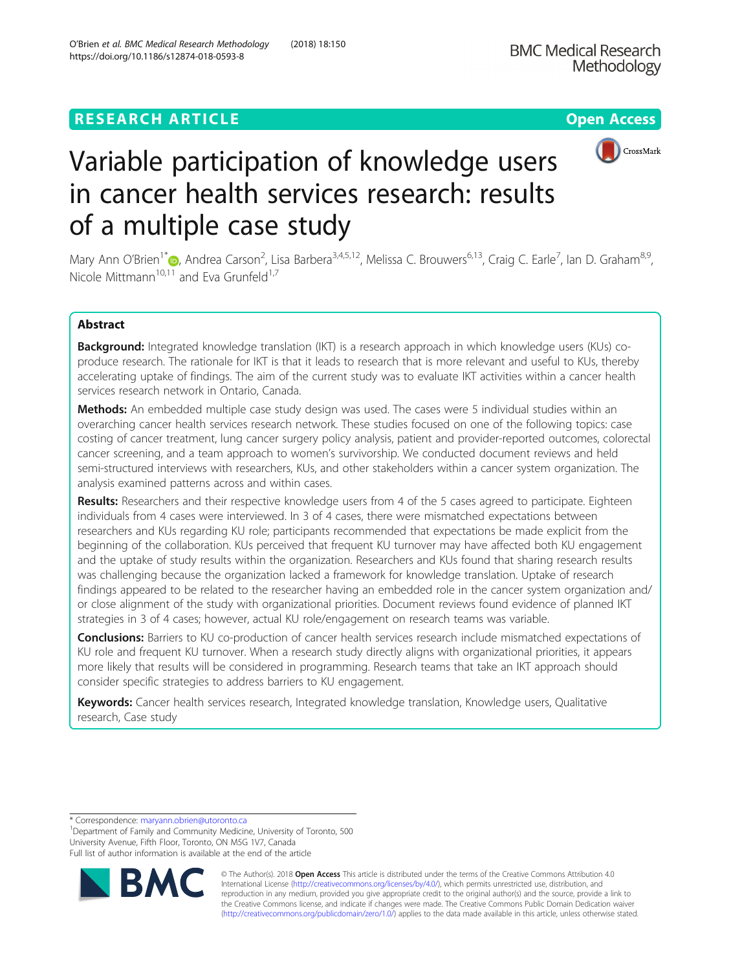# **RESEARCH ARTICLE Example 2014 12:30 The Open Access**





# Variable participation of knowledge users in cancer health services research: results of a multiple case study

Mary Ann O'Brien<sup>1\*</sup> D[,](http://orcid.org/0000-0001-6093-1040) Andrea Carson<sup>2</sup>, Lisa Barbera<sup>3,4,5,12</sup>, Melissa C. Brouwers<sup>6,13</sup>, Craig C. Earle<sup>7</sup>, Ian D. Graham<sup>8,9</sup>, Nicole Mittmann<sup>10,11</sup> and Eva Grunfeld<sup>1,7</sup>

# Abstract

Background: Integrated knowledge translation (IKT) is a research approach in which knowledge users (KUs) coproduce research. The rationale for IKT is that it leads to research that is more relevant and useful to KUs, thereby accelerating uptake of findings. The aim of the current study was to evaluate IKT activities within a cancer health services research network in Ontario, Canada.

**Methods:** An embedded multiple case study design was used. The cases were 5 individual studies within an overarching cancer health services research network. These studies focused on one of the following topics: case costing of cancer treatment, lung cancer surgery policy analysis, patient and provider-reported outcomes, colorectal cancer screening, and a team approach to women's survivorship. We conducted document reviews and held semi-structured interviews with researchers, KUs, and other stakeholders within a cancer system organization. The analysis examined patterns across and within cases.

Results: Researchers and their respective knowledge users from 4 of the 5 cases agreed to participate. Eighteen individuals from 4 cases were interviewed. In 3 of 4 cases, there were mismatched expectations between researchers and KUs regarding KU role; participants recommended that expectations be made explicit from the beginning of the collaboration. KUs perceived that frequent KU turnover may have affected both KU engagement and the uptake of study results within the organization. Researchers and KUs found that sharing research results was challenging because the organization lacked a framework for knowledge translation. Uptake of research findings appeared to be related to the researcher having an embedded role in the cancer system organization and/ or close alignment of the study with organizational priorities. Document reviews found evidence of planned IKT strategies in 3 of 4 cases; however, actual KU role/engagement on research teams was variable.

Conclusions: Barriers to KU co-production of cancer health services research include mismatched expectations of KU role and frequent KU turnover. When a research study directly aligns with organizational priorities, it appears more likely that results will be considered in programming. Research teams that take an IKT approach should consider specific strategies to address barriers to KU engagement.

Keywords: Cancer health services research, Integrated knowledge translation, Knowledge users, Qualitative research, Case study

\* Correspondence: [maryann.obrien@utoronto.ca](mailto:maryann.obrien@utoronto.ca) <sup>1</sup>

<sup>1</sup>Department of Family and Community Medicine, University of Toronto, 500 University Avenue, Fifth Floor, Toronto, ON M5G 1V7, Canada Full list of author information is available at the end of the article



© The Author(s). 2018 Open Access This article is distributed under the terms of the Creative Commons Attribution 4.0 International License [\(http://creativecommons.org/licenses/by/4.0/](http://creativecommons.org/licenses/by/4.0/)), which permits unrestricted use, distribution, and reproduction in any medium, provided you give appropriate credit to the original author(s) and the source, provide a link to the Creative Commons license, and indicate if changes were made. The Creative Commons Public Domain Dedication waiver [\(http://creativecommons.org/publicdomain/zero/1.0/](http://creativecommons.org/publicdomain/zero/1.0/)) applies to the data made available in this article, unless otherwise stated.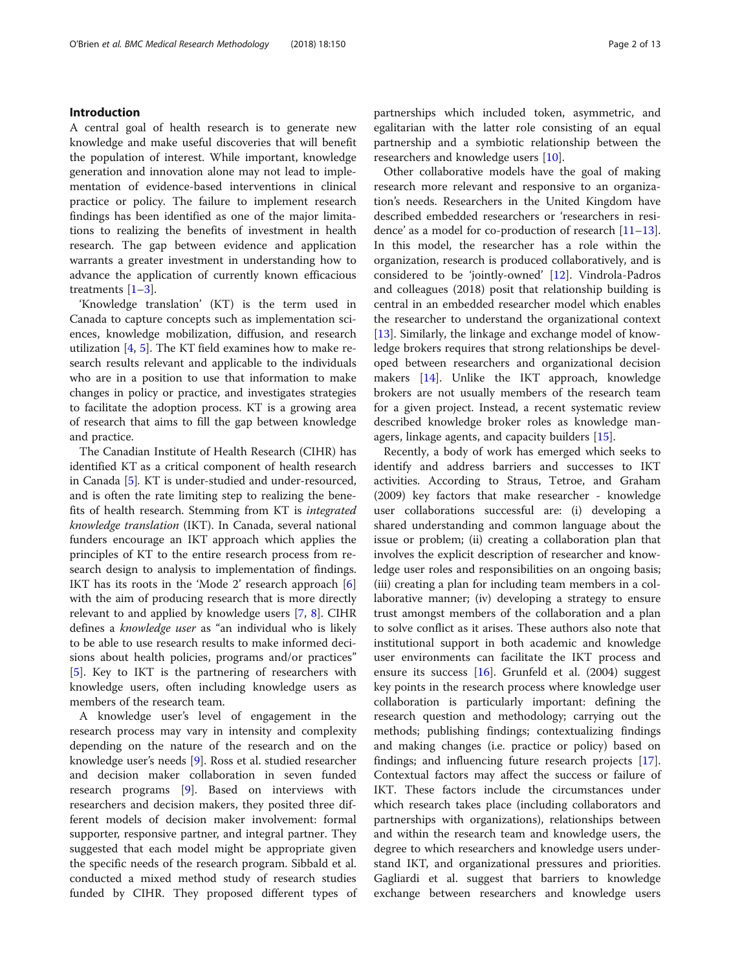# Introduction

A central goal of health research is to generate new knowledge and make useful discoveries that will benefit the population of interest. While important, knowledge generation and innovation alone may not lead to implementation of evidence-based interventions in clinical practice or policy. The failure to implement research findings has been identified as one of the major limitations to realizing the benefits of investment in health research. The gap between evidence and application warrants a greater investment in understanding how to advance the application of currently known efficacious treatments [[1](#page-12-0)–[3](#page-12-0)].

'Knowledge translation' (KT) is the term used in Canada to capture concepts such as implementation sciences, knowledge mobilization, diffusion, and research utilization [[4,](#page-12-0) [5\]](#page-12-0). The KT field examines how to make research results relevant and applicable to the individuals who are in a position to use that information to make changes in policy or practice, and investigates strategies to facilitate the adoption process. KT is a growing area of research that aims to fill the gap between knowledge and practice.

The Canadian Institute of Health Research (CIHR) has identified KT as a critical component of health research in Canada [\[5](#page-12-0)]. KT is under-studied and under-resourced, and is often the rate limiting step to realizing the benefits of health research. Stemming from KT is integrated knowledge translation (IKT). In Canada, several national funders encourage an IKT approach which applies the principles of KT to the entire research process from research design to analysis to implementation of findings. IKT has its roots in the 'Mode 2' research approach [\[6](#page-12-0)] with the aim of producing research that is more directly relevant to and applied by knowledge users [[7,](#page-12-0) [8](#page-12-0)]. CIHR defines a knowledge user as "an individual who is likely to be able to use research results to make informed decisions about health policies, programs and/or practices" [[5\]](#page-12-0). Key to IKT is the partnering of researchers with knowledge users, often including knowledge users as members of the research team.

A knowledge user's level of engagement in the research process may vary in intensity and complexity depending on the nature of the research and on the knowledge user's needs [\[9](#page-12-0)]. Ross et al. studied researcher and decision maker collaboration in seven funded research programs [[9\]](#page-12-0). Based on interviews with researchers and decision makers, they posited three different models of decision maker involvement: formal supporter, responsive partner, and integral partner. They suggested that each model might be appropriate given the specific needs of the research program. Sibbald et al. conducted a mixed method study of research studies funded by CIHR. They proposed different types of

partnerships which included token, asymmetric, and egalitarian with the latter role consisting of an equal partnership and a symbiotic relationship between the researchers and knowledge users [\[10\]](#page-12-0).

Other collaborative models have the goal of making research more relevant and responsive to an organization's needs. Researchers in the United Kingdom have described embedded researchers or 'researchers in residence' as a model for co-production of research [[11](#page-12-0)–[13](#page-12-0)]. In this model, the researcher has a role within the organization, research is produced collaboratively, and is considered to be 'jointly-owned' [\[12\]](#page-12-0). Vindrola-Padros and colleagues (2018) posit that relationship building is central in an embedded researcher model which enables the researcher to understand the organizational context [[13\]](#page-12-0). Similarly, the linkage and exchange model of knowledge brokers requires that strong relationships be developed between researchers and organizational decision makers [\[14\]](#page-12-0). Unlike the IKT approach, knowledge brokers are not usually members of the research team for a given project. Instead, a recent systematic review described knowledge broker roles as knowledge managers, linkage agents, and capacity builders [[15\]](#page-12-0).

Recently, a body of work has emerged which seeks to identify and address barriers and successes to IKT activities. According to Straus, Tetroe, and Graham (2009) key factors that make researcher - knowledge user collaborations successful are: (i) developing a shared understanding and common language about the issue or problem; (ii) creating a collaboration plan that involves the explicit description of researcher and knowledge user roles and responsibilities on an ongoing basis; (iii) creating a plan for including team members in a collaborative manner; (iv) developing a strategy to ensure trust amongst members of the collaboration and a plan to solve conflict as it arises. These authors also note that institutional support in both academic and knowledge user environments can facilitate the IKT process and ensure its success  $[16]$  $[16]$ . Grunfeld et al. (2004) suggest key points in the research process where knowledge user collaboration is particularly important: defining the research question and methodology; carrying out the methods; publishing findings; contextualizing findings and making changes (i.e. practice or policy) based on findings; and influencing future research projects [\[17](#page-12-0)]. Contextual factors may affect the success or failure of IKT. These factors include the circumstances under which research takes place (including collaborators and partnerships with organizations), relationships between and within the research team and knowledge users, the degree to which researchers and knowledge users understand IKT, and organizational pressures and priorities. Gagliardi et al. suggest that barriers to knowledge exchange between researchers and knowledge users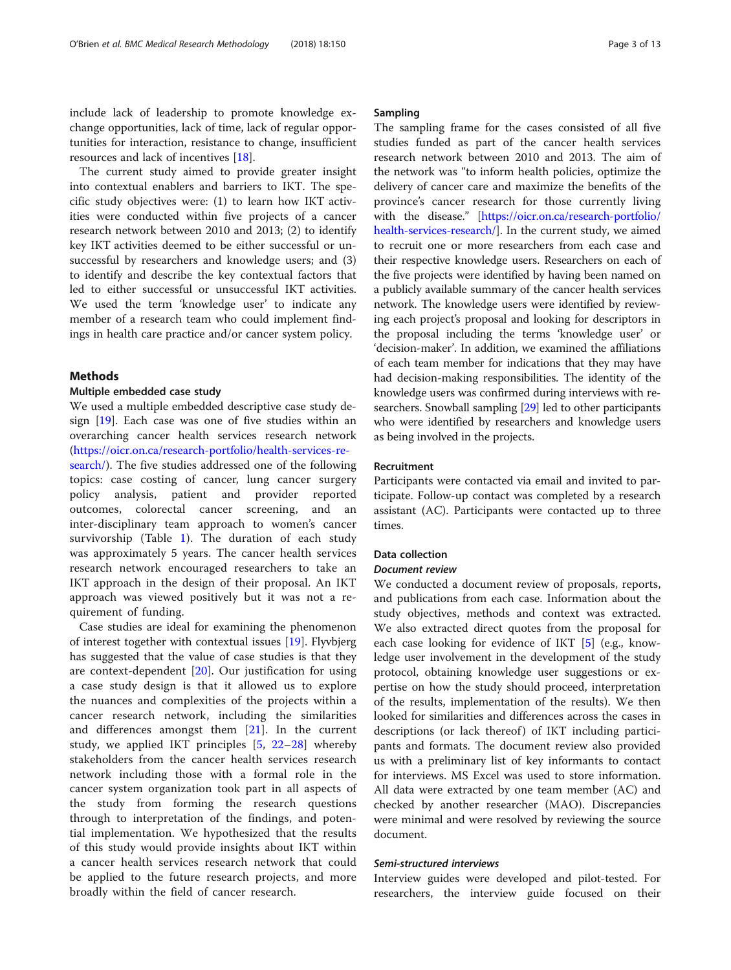include lack of leadership to promote knowledge exchange opportunities, lack of time, lack of regular opportunities for interaction, resistance to change, insufficient resources and lack of incentives [[18\]](#page-12-0).

The current study aimed to provide greater insight into contextual enablers and barriers to IKT. The specific study objectives were: (1) to learn how IKT activities were conducted within five projects of a cancer research network between 2010 and 2013; (2) to identify key IKT activities deemed to be either successful or unsuccessful by researchers and knowledge users; and (3) to identify and describe the key contextual factors that led to either successful or unsuccessful IKT activities. We used the term 'knowledge user' to indicate any member of a research team who could implement findings in health care practice and/or cancer system policy.

# **Methods**

# Multiple embedded case study

We used a multiple embedded descriptive case study design [[19\]](#page-12-0). Each case was one of five studies within an overarching cancer health services research network ([https://oicr.on.ca/research-portfolio/health-services-re](https://oicr.on.ca/research-portfolio/health-services-research/)[search/](https://oicr.on.ca/research-portfolio/health-services-research/)). The five studies addressed one of the following topics: case costing of cancer, lung cancer surgery policy analysis, patient and provider reported outcomes, colorectal cancer screening, and an inter-disciplinary team approach to women's cancer survivorship (Table [1\)](#page-3-0). The duration of each study was approximately 5 years. The cancer health services research network encouraged researchers to take an IKT approach in the design of their proposal. An IKT approach was viewed positively but it was not a requirement of funding.

Case studies are ideal for examining the phenomenon of interest together with contextual issues [\[19](#page-12-0)]. Flyvbjerg has suggested that the value of case studies is that they are context-dependent [[20](#page-12-0)]. Our justification for using a case study design is that it allowed us to explore the nuances and complexities of the projects within a cancer research network, including the similarities and differences amongst them [[21\]](#page-12-0). In the current study, we applied IKT principles  $[5, 22-28]$  $[5, 22-28]$  $[5, 22-28]$  $[5, 22-28]$  $[5, 22-28]$  $[5, 22-28]$  $[5, 22-28]$  whereby stakeholders from the cancer health services research network including those with a formal role in the cancer system organization took part in all aspects of the study from forming the research questions through to interpretation of the findings, and potential implementation. We hypothesized that the results of this study would provide insights about IKT within a cancer health services research network that could be applied to the future research projects, and more broadly within the field of cancer research.

# Sampling

The sampling frame for the cases consisted of all five studies funded as part of the cancer health services research network between 2010 and 2013. The aim of the network was "to inform health policies, optimize the delivery of cancer care and maximize the benefits of the province's cancer research for those currently living with the disease." [\[https://oicr.on.ca/research-portfolio/](https://oicr.on.ca/research-portfolio/health-services-research/) [health-services-research/](https://oicr.on.ca/research-portfolio/health-services-research/)]. In the current study, we aimed to recruit one or more researchers from each case and their respective knowledge users. Researchers on each of the five projects were identified by having been named on a publicly available summary of the cancer health services network. The knowledge users were identified by reviewing each project's proposal and looking for descriptors in the proposal including the terms 'knowledge user' or 'decision-maker'. In addition, we examined the affiliations of each team member for indications that they may have had decision-making responsibilities. The identity of the knowledge users was confirmed during interviews with researchers. Snowball sampling [\[29\]](#page-12-0) led to other participants who were identified by researchers and knowledge users as being involved in the projects.

# Recruitment

Participants were contacted via email and invited to participate. Follow-up contact was completed by a research assistant (AC). Participants were contacted up to three times.

# Data collection

# Document review

We conducted a document review of proposals, reports, and publications from each case. Information about the study objectives, methods and context was extracted. We also extracted direct quotes from the proposal for each case looking for evidence of IKT [[5\]](#page-12-0) (e.g., knowledge user involvement in the development of the study protocol, obtaining knowledge user suggestions or expertise on how the study should proceed, interpretation of the results, implementation of the results). We then looked for similarities and differences across the cases in descriptions (or lack thereof) of IKT including participants and formats. The document review also provided us with a preliminary list of key informants to contact for interviews. MS Excel was used to store information. All data were extracted by one team member (AC) and checked by another researcher (MAO). Discrepancies were minimal and were resolved by reviewing the source document.

# Semi-structured interviews

Interview guides were developed and pilot-tested. For researchers, the interview guide focused on their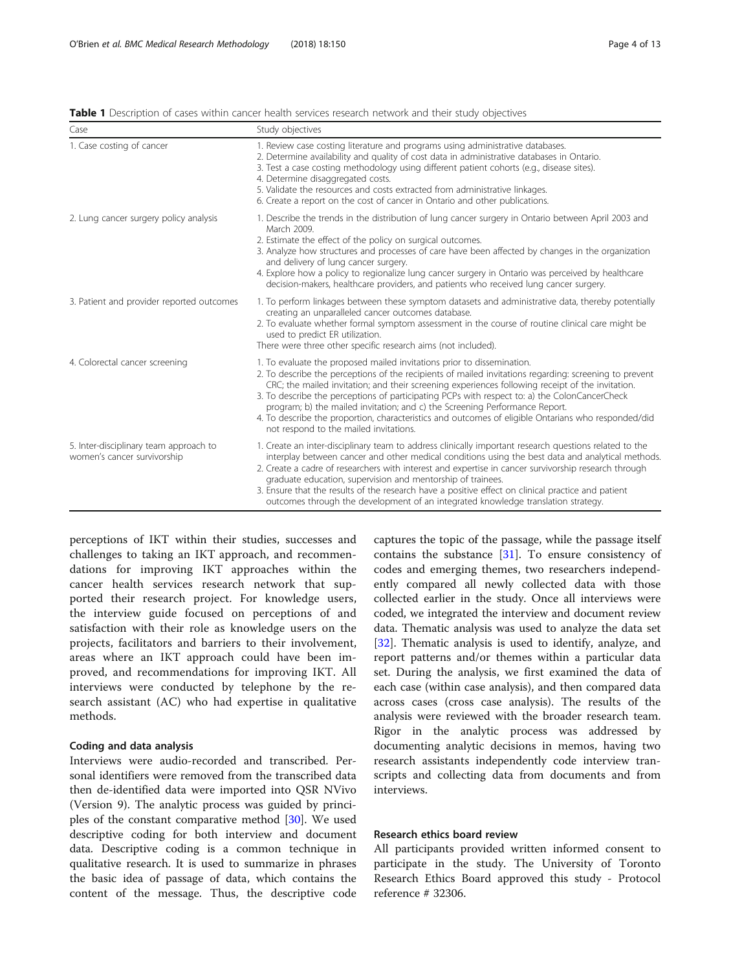<span id="page-3-0"></span>

|  |  |  |  |  |  | Table 1 Description of cases within cancer health services research network and their study objectives |
|--|--|--|--|--|--|--------------------------------------------------------------------------------------------------------|
|--|--|--|--|--|--|--------------------------------------------------------------------------------------------------------|

| Case                                                                  | Study objectives                                                                                                                                                                                                                                                                                                                                                                                                                                                                                                                                                                                                      |
|-----------------------------------------------------------------------|-----------------------------------------------------------------------------------------------------------------------------------------------------------------------------------------------------------------------------------------------------------------------------------------------------------------------------------------------------------------------------------------------------------------------------------------------------------------------------------------------------------------------------------------------------------------------------------------------------------------------|
| 1. Case costing of cancer                                             | 1. Review case costing literature and programs using administrative databases.<br>2. Determine availability and quality of cost data in administrative databases in Ontario.<br>3. Test a case costing methodology using different patient cohorts (e.g., disease sites).<br>4. Determine disaggregated costs.<br>5. Validate the resources and costs extracted from administrative linkages.<br>6. Create a report on the cost of cancer in Ontario and other publications.                                                                                                                                          |
| 2. Lung cancer surgery policy analysis                                | 1. Describe the trends in the distribution of lung cancer surgery in Ontario between April 2003 and<br>March 2009<br>2. Estimate the effect of the policy on surgical outcomes.<br>3. Analyze how structures and processes of care have been affected by changes in the organization<br>and delivery of lung cancer surgery.<br>4. Explore how a policy to regionalize lung cancer surgery in Ontario was perceived by healthcare<br>decision-makers, healthcare providers, and patients who received lung cancer surgery.                                                                                            |
| 3. Patient and provider reported outcomes                             | 1. To perform linkages between these symptom datasets and administrative data, thereby potentially<br>creating an unparalleled cancer outcomes database.<br>2. To evaluate whether formal symptom assessment in the course of routine clinical care might be<br>used to predict ER utilization.<br>There were three other specific research aims (not included).                                                                                                                                                                                                                                                      |
| 4. Colorectal cancer screening                                        | 1. To evaluate the proposed mailed invitations prior to dissemination.<br>2. To describe the perceptions of the recipients of mailed invitations regarding: screening to prevent<br>CRC; the mailed invitation; and their screening experiences following receipt of the invitation.<br>3. To describe the perceptions of participating PCPs with respect to: a) the ColonCancerCheck<br>program; b) the mailed invitation; and c) the Screening Performance Report.<br>4. To describe the proportion, characteristics and outcomes of eligible Ontarians who responded/did<br>not respond to the mailed invitations. |
| 5. Inter-disciplinary team approach to<br>women's cancer survivorship | 1. Create an inter-disciplinary team to address clinically important research questions related to the<br>interplay between cancer and other medical conditions using the best data and analytical methods.<br>2. Create a cadre of researchers with interest and expertise in cancer survivorship research through<br>graduate education, supervision and mentorship of trainees.<br>3. Ensure that the results of the research have a positive effect on clinical practice and patient<br>outcomes through the development of an integrated knowledge translation strategy.                                         |

perceptions of IKT within their studies, successes and challenges to taking an IKT approach, and recommendations for improving IKT approaches within the cancer health services research network that supported their research project. For knowledge users, the interview guide focused on perceptions of and satisfaction with their role as knowledge users on the projects, facilitators and barriers to their involvement, areas where an IKT approach could have been improved, and recommendations for improving IKT. All interviews were conducted by telephone by the research assistant (AC) who had expertise in qualitative methods.

# Coding and data analysis

Interviews were audio-recorded and transcribed. Personal identifiers were removed from the transcribed data then de-identified data were imported into QSR NVivo (Version 9). The analytic process was guided by principles of the constant comparative method [\[30\]](#page-12-0). We used descriptive coding for both interview and document data. Descriptive coding is a common technique in qualitative research. It is used to summarize in phrases the basic idea of passage of data, which contains the content of the message. Thus, the descriptive code

captures the topic of the passage, while the passage itself contains the substance [[31\]](#page-12-0). To ensure consistency of codes and emerging themes, two researchers independently compared all newly collected data with those collected earlier in the study. Once all interviews were coded, we integrated the interview and document review data. Thematic analysis was used to analyze the data set [[32\]](#page-12-0). Thematic analysis is used to identify, analyze, and report patterns and/or themes within a particular data set. During the analysis, we first examined the data of each case (within case analysis), and then compared data across cases (cross case analysis). The results of the analysis were reviewed with the broader research team. Rigor in the analytic process was addressed by documenting analytic decisions in memos, having two research assistants independently code interview transcripts and collecting data from documents and from interviews.

# Research ethics board review

All participants provided written informed consent to participate in the study. The University of Toronto Research Ethics Board approved this study - Protocol reference # 32306.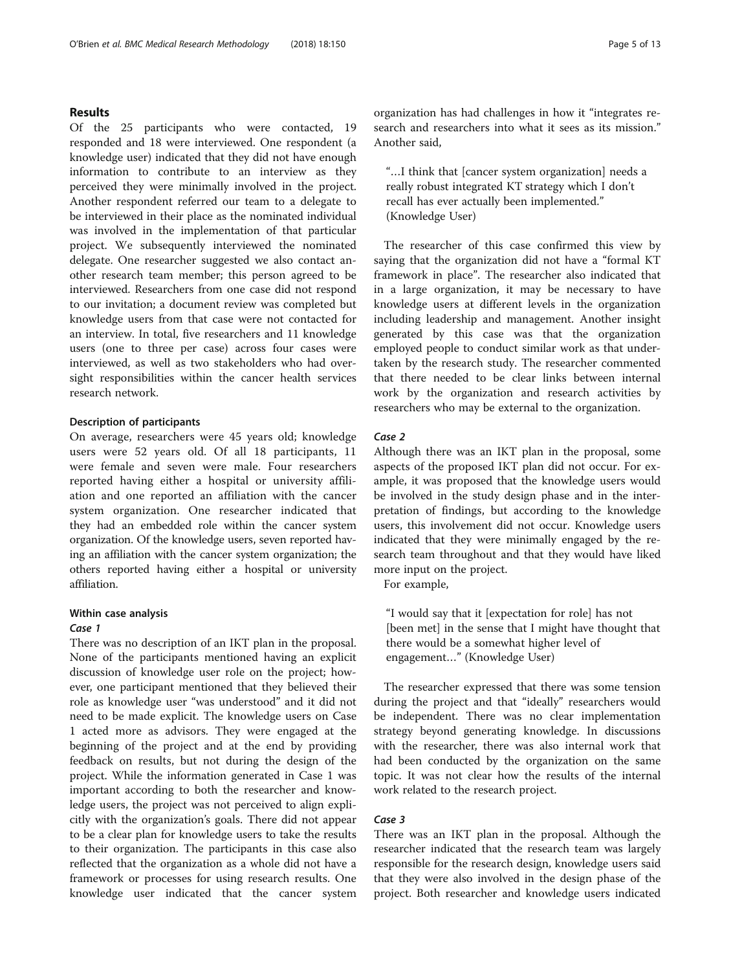# Results

Of the 25 participants who were contacted, 19 responded and 18 were interviewed. One respondent (a knowledge user) indicated that they did not have enough information to contribute to an interview as they perceived they were minimally involved in the project. Another respondent referred our team to a delegate to be interviewed in their place as the nominated individual was involved in the implementation of that particular project. We subsequently interviewed the nominated delegate. One researcher suggested we also contact another research team member; this person agreed to be interviewed. Researchers from one case did not respond to our invitation; a document review was completed but knowledge users from that case were not contacted for an interview. In total, five researchers and 11 knowledge users (one to three per case) across four cases were interviewed, as well as two stakeholders who had oversight responsibilities within the cancer health services research network.

# Description of participants

On average, researchers were 45 years old; knowledge users were 52 years old. Of all 18 participants, 11 were female and seven were male. Four researchers reported having either a hospital or university affiliation and one reported an affiliation with the cancer system organization. One researcher indicated that they had an embedded role within the cancer system organization. Of the knowledge users, seven reported having an affiliation with the cancer system organization; the others reported having either a hospital or university affiliation.

# Within case analysis

# Case 1

There was no description of an IKT plan in the proposal. None of the participants mentioned having an explicit discussion of knowledge user role on the project; however, one participant mentioned that they believed their role as knowledge user "was understood" and it did not need to be made explicit. The knowledge users on Case 1 acted more as advisors. They were engaged at the beginning of the project and at the end by providing feedback on results, but not during the design of the project. While the information generated in Case 1 was important according to both the researcher and knowledge users, the project was not perceived to align explicitly with the organization's goals. There did not appear to be a clear plan for knowledge users to take the results to their organization. The participants in this case also reflected that the organization as a whole did not have a framework or processes for using research results. One knowledge user indicated that the cancer system organization has had challenges in how it "integrates research and researchers into what it sees as its mission." Another said,

"…I think that [cancer system organization] needs a really robust integrated KT strategy which I don't recall has ever actually been implemented." (Knowledge User)

The researcher of this case confirmed this view by saying that the organization did not have a "formal KT framework in place". The researcher also indicated that in a large organization, it may be necessary to have knowledge users at different levels in the organization including leadership and management. Another insight generated by this case was that the organization employed people to conduct similar work as that undertaken by the research study. The researcher commented that there needed to be clear links between internal work by the organization and research activities by researchers who may be external to the organization.

# Case 2

Although there was an IKT plan in the proposal, some aspects of the proposed IKT plan did not occur. For example, it was proposed that the knowledge users would be involved in the study design phase and in the interpretation of findings, but according to the knowledge users, this involvement did not occur. Knowledge users indicated that they were minimally engaged by the research team throughout and that they would have liked more input on the project.

For example,

"I would say that it [expectation for role] has not [been met] in the sense that I might have thought that there would be a somewhat higher level of engagement…" (Knowledge User)

The researcher expressed that there was some tension during the project and that "ideally" researchers would be independent. There was no clear implementation strategy beyond generating knowledge. In discussions with the researcher, there was also internal work that had been conducted by the organization on the same topic. It was not clear how the results of the internal work related to the research project.

# Case 3

There was an IKT plan in the proposal. Although the researcher indicated that the research team was largely responsible for the research design, knowledge users said that they were also involved in the design phase of the project. Both researcher and knowledge users indicated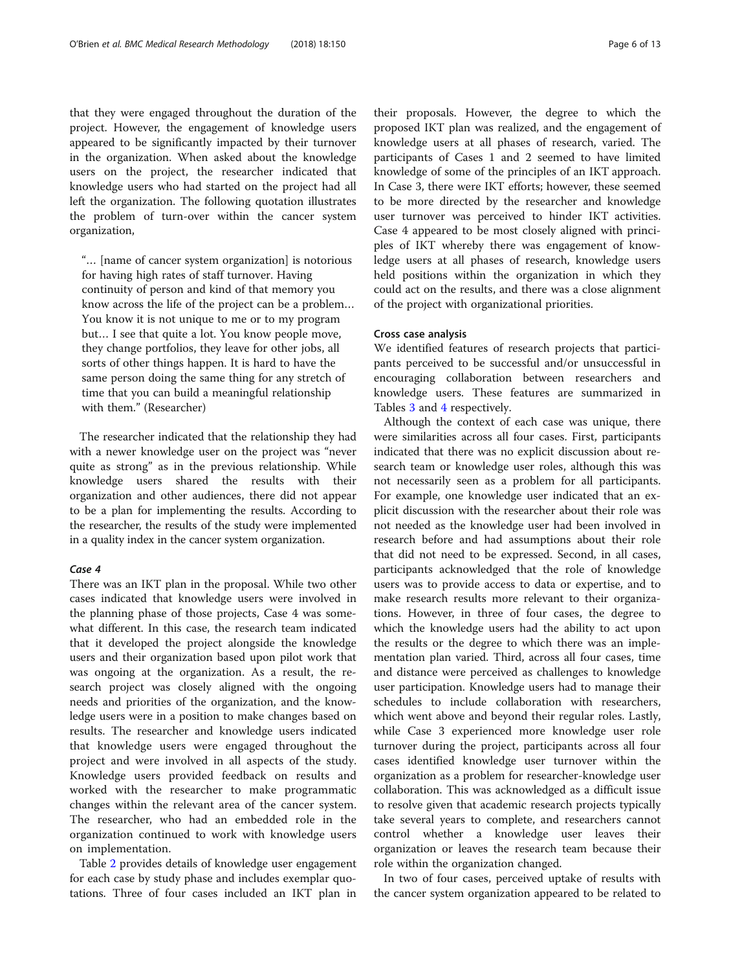that they were engaged throughout the duration of the project. However, the engagement of knowledge users appeared to be significantly impacted by their turnover in the organization. When asked about the knowledge users on the project, the researcher indicated that knowledge users who had started on the project had all left the organization. The following quotation illustrates the problem of turn-over within the cancer system organization,

"… [name of cancer system organization] is notorious for having high rates of staff turnover. Having continuity of person and kind of that memory you know across the life of the project can be a problem… You know it is not unique to me or to my program but… I see that quite a lot. You know people move, they change portfolios, they leave for other jobs, all sorts of other things happen. It is hard to have the same person doing the same thing for any stretch of time that you can build a meaningful relationship with them." (Researcher)

The researcher indicated that the relationship they had with a newer knowledge user on the project was "never quite as strong" as in the previous relationship. While knowledge users shared the results with their organization and other audiences, there did not appear to be a plan for implementing the results. According to the researcher, the results of the study were implemented in a quality index in the cancer system organization.

## Case 4

There was an IKT plan in the proposal. While two other cases indicated that knowledge users were involved in the planning phase of those projects, Case 4 was somewhat different. In this case, the research team indicated that it developed the project alongside the knowledge users and their organization based upon pilot work that was ongoing at the organization. As a result, the research project was closely aligned with the ongoing needs and priorities of the organization, and the knowledge users were in a position to make changes based on results. The researcher and knowledge users indicated that knowledge users were engaged throughout the project and were involved in all aspects of the study. Knowledge users provided feedback on results and worked with the researcher to make programmatic changes within the relevant area of the cancer system. The researcher, who had an embedded role in the organization continued to work with knowledge users on implementation.

Table [2](#page-6-0) provides details of knowledge user engagement for each case by study phase and includes exemplar quotations. Three of four cases included an IKT plan in

their proposals. However, the degree to which the proposed IKT plan was realized, and the engagement of knowledge users at all phases of research, varied. The participants of Cases 1 and 2 seemed to have limited knowledge of some of the principles of an IKT approach. In Case 3, there were IKT efforts; however, these seemed to be more directed by the researcher and knowledge user turnover was perceived to hinder IKT activities. Case 4 appeared to be most closely aligned with principles of IKT whereby there was engagement of knowledge users at all phases of research, knowledge users held positions within the organization in which they could act on the results, and there was a close alignment of the project with organizational priorities.

# Cross case analysis

We identified features of research projects that participants perceived to be successful and/or unsuccessful in encouraging collaboration between researchers and knowledge users. These features are summarized in Tables [3](#page-9-0) and [4](#page-9-0) respectively.

Although the context of each case was unique, there were similarities across all four cases. First, participants indicated that there was no explicit discussion about research team or knowledge user roles, although this was not necessarily seen as a problem for all participants. For example, one knowledge user indicated that an explicit discussion with the researcher about their role was not needed as the knowledge user had been involved in research before and had assumptions about their role that did not need to be expressed. Second, in all cases, participants acknowledged that the role of knowledge users was to provide access to data or expertise, and to make research results more relevant to their organizations. However, in three of four cases, the degree to which the knowledge users had the ability to act upon the results or the degree to which there was an implementation plan varied. Third, across all four cases, time and distance were perceived as challenges to knowledge user participation. Knowledge users had to manage their schedules to include collaboration with researchers, which went above and beyond their regular roles. Lastly, while Case 3 experienced more knowledge user role turnover during the project, participants across all four cases identified knowledge user turnover within the organization as a problem for researcher-knowledge user collaboration. This was acknowledged as a difficult issue to resolve given that academic research projects typically take several years to complete, and researchers cannot control whether a knowledge user leaves their organization or leaves the research team because their role within the organization changed.

In two of four cases, perceived uptake of results with the cancer system organization appeared to be related to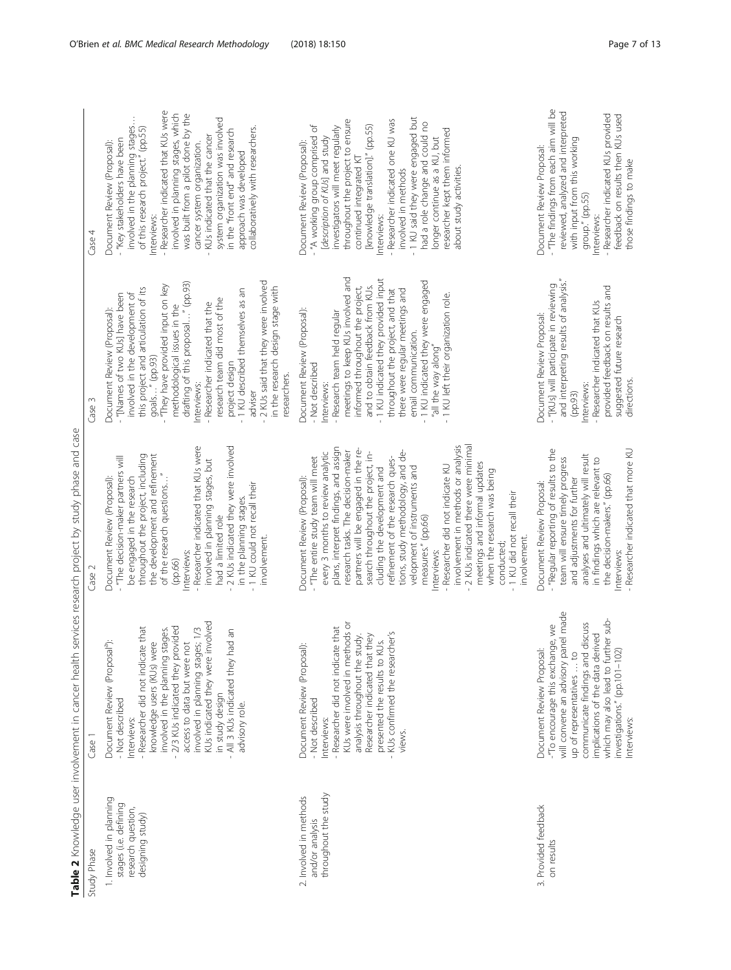| İ<br>1<br>)<br>S<br>i<br>I<br>I<br>١<br>ł<br>ļ<br>٢<br>S<br>.<br>.<br>. |
|-------------------------------------------------------------------------|
|                                                                         |
|                                                                         |
|                                                                         |
|                                                                         |
|                                                                         |
| a candidate as<br>۱                                                     |
| a teach and the second<br>j<br>j<br><br>١<br>$\overline{ }$             |
| $\begin{smallmatrix} 1\ 1\ 2\ 3 \end{smallmatrix}$<br>I                 |
| ֚֚֚֚֚֚֚֚֚֚֚֚֚֚֚֚֚֚֡֝<br>֧֧֪֖֖֚֚֚֚֚֚֚֝֝֝<br>ī<br>i<br>j<br>J             |
| $\ddot{\phantom{a}}$<br>Ï<br>$\frac{1}{2}$<br>١<br>j                    |
|                                                                         |
|                                                                         |
| $\ddot{\phantom{a}}$                                                    |
| J<br>l                                                                  |
| J                                                                       |
|                                                                         |
|                                                                         |
| Able <sub>2</sub><br>ಗ<br>l                                             |

<span id="page-6-0"></span>

|                                                                                            | Table 2 Knowledge user involvement in cancer health services research project by study phase and case                                                                                                                                                                                                                                                                                                      |                                                                                                                                                                                                                                                                                                                                                                                                                                                                                                                                                                                                                                                                                         |                                                                                                                                                                                                                                                                                                                                                                                                                                                                                                                    |                                                                                                                                                                                                                                                                                                                                                                                                                                                                                         |
|--------------------------------------------------------------------------------------------|------------------------------------------------------------------------------------------------------------------------------------------------------------------------------------------------------------------------------------------------------------------------------------------------------------------------------------------------------------------------------------------------------------|-----------------------------------------------------------------------------------------------------------------------------------------------------------------------------------------------------------------------------------------------------------------------------------------------------------------------------------------------------------------------------------------------------------------------------------------------------------------------------------------------------------------------------------------------------------------------------------------------------------------------------------------------------------------------------------------|--------------------------------------------------------------------------------------------------------------------------------------------------------------------------------------------------------------------------------------------------------------------------------------------------------------------------------------------------------------------------------------------------------------------------------------------------------------------------------------------------------------------|-----------------------------------------------------------------------------------------------------------------------------------------------------------------------------------------------------------------------------------------------------------------------------------------------------------------------------------------------------------------------------------------------------------------------------------------------------------------------------------------|
| Study Phase                                                                                | Case                                                                                                                                                                                                                                                                                                                                                                                                       | Case 2                                                                                                                                                                                                                                                                                                                                                                                                                                                                                                                                                                                                                                                                                  | Case 3                                                                                                                                                                                                                                                                                                                                                                                                                                                                                                             | Case.                                                                                                                                                                                                                                                                                                                                                                                                                                                                                   |
| 1. Involved in planning<br>stages (i.e. defining<br>research question,<br>designing study) | KUs indicated they were involved<br>- 2/3 KUs indicated they provided<br>- Researcher did not indicate that<br>involved in planning stages; 1/3<br>involved in the planning stages.<br>had an<br>knowledge users (KUs) were<br>Document Review (Proposal <sup>9</sup> ):<br>access to data but were not<br>All 3 KUs indicated they<br>in study design<br>- Not described<br>advisory role.<br>Interviews: | Researcher indicated that KUs were<br>2 KUs indicated they were involved<br>throughout the project, including<br>the development and refinement<br>- "The decision-maker partners will<br>involved in planning stages, but<br>Document Review (Proposal):<br>be engaged in the research<br>of the research questions<br>-1 KU could not recall their<br>in the planning stages.<br>had a limited role<br>involvement.<br>Interviews:<br>(pp.66)                                                                                                                                                                                                                                         | 2 KUs said that they were involved<br>drafting of this proposal" (pp.93)<br>"They have provided input on key<br>in the research design stage with<br>this project and articulation of its<br>1 KU described themselves as an<br>involved in the development of<br>- "[Names of two KUs] have been<br>research team did most of the<br>methodological issues in the<br>- Researcher indicated that the<br>Document Review (Proposal):<br>goals" (pp.93)<br>project design<br>researchers.<br>Interviews:<br>adviser | - Researcher indicated that KUs were<br>involved in planning stages, which<br>was built from a pilot done by the<br>involved in the planning stages<br>of this research project." (pp.55)<br>system organization was involved<br>collaboratively with researchers.<br>in the "front end" and research<br>KUs indicated that the cancer<br>- "Key stakeholders have been<br>Document Review (Proposal):<br>cancer system organization.<br>approach was developed<br>Interviews:          |
| throughout the study<br>2. Involved in methods<br>and/or analysis                          | KUs were involved in methods or<br>- Researcher did not indicate that<br>- KUs confirmed the researcher's<br>analysis throughout the study.<br>Researcher indicated that they<br>presented the results to KUs.<br>Document Review (Proposal):<br>- Not described<br>Interviews:<br>views.                                                                                                                  | involvement in methods or analysis<br>2 KUs indicated there were minimal<br>plans, interpret findings, and assign<br>partners will be engaged in the re-<br>research tasks. The decision-maker<br>tions, study methodology, and de-<br>every 3 months to review analytic<br>search throughout the project, in-<br>- "The entire study team will meet<br>refinement of the research ques-<br>meetings and informal updates<br>Researcher did not indicate KU<br>cluding the development and<br>velopment of instruments and<br>when the research was being<br>Document Review (Proposal):<br>1 KU did not recall their<br>measures." (pp.66)<br>involvement.<br>conducted;<br>nterviews: | meetings to keep KUs involved and<br>1 KU indicated they provided input<br>1 KU indicated they were engaged<br>and to obtain feedback from KUs.<br>informed throughout the project,<br>throughout the project, and that<br>there were regular meetings and<br>- 1 KU left their organization role.<br>Document Review (Proposal):<br>- Research team held regular<br>email communication.<br>"all the way along"<br>- Not described<br>Interviews:                                                                 | - 1 KU said they were engaged but<br>throughout the project to ensure<br>- Researcher indicated one KU was<br>had a role change and could no<br>- "A working group comprised of<br>investigators will meet regularly<br>[knowledge translation]." (pp.55)<br>researcher kept them informed<br>[description of KUs] and study<br>longer continue as a KU, but<br>Document Review (Proposal):<br>continued integrated KT<br>about study activities.<br>involved in methods<br>Interviews: |
| 3. Provided feedback<br>on results                                                         | will convene an advisory panel made<br>which may also lead to further sub-<br>communicate findings and discuss<br>-"To encourage this exchange, we<br>implications of the data derived<br>Document Review Proposal:<br>investigations." (pp.101-102)<br>up of representatives  to<br>Interviews:                                                                                                           | - "Regular reporting of results to the<br>Researcher indicated that more KU<br>analyses and ultimately will result<br>team will ensure timely progress<br>in findings which are relevant to<br>the decision-makers." (pp.66)<br>and adjustments for further<br>Document Review Proposal:<br>nterviews:                                                                                                                                                                                                                                                                                                                                                                                  | and interpreting results of analysis."<br>- "[KUs] will participate in reviewing<br>provided feedback on results and<br>- Researcher indicated that KUs<br>Document Review Proposal:<br>suggested future research<br>directions.<br>Interviews:<br>(pp.93)                                                                                                                                                                                                                                                         | - "The findings from each aim will be<br>reviewed, analyzed and interpreted<br>- Researcher indicated KUs provided<br>feedback on results then KUs used<br>with input from this working<br>Document Review Proposal:<br>those findings to make<br>group." (pp.55)<br>Interviews:                                                                                                                                                                                                        |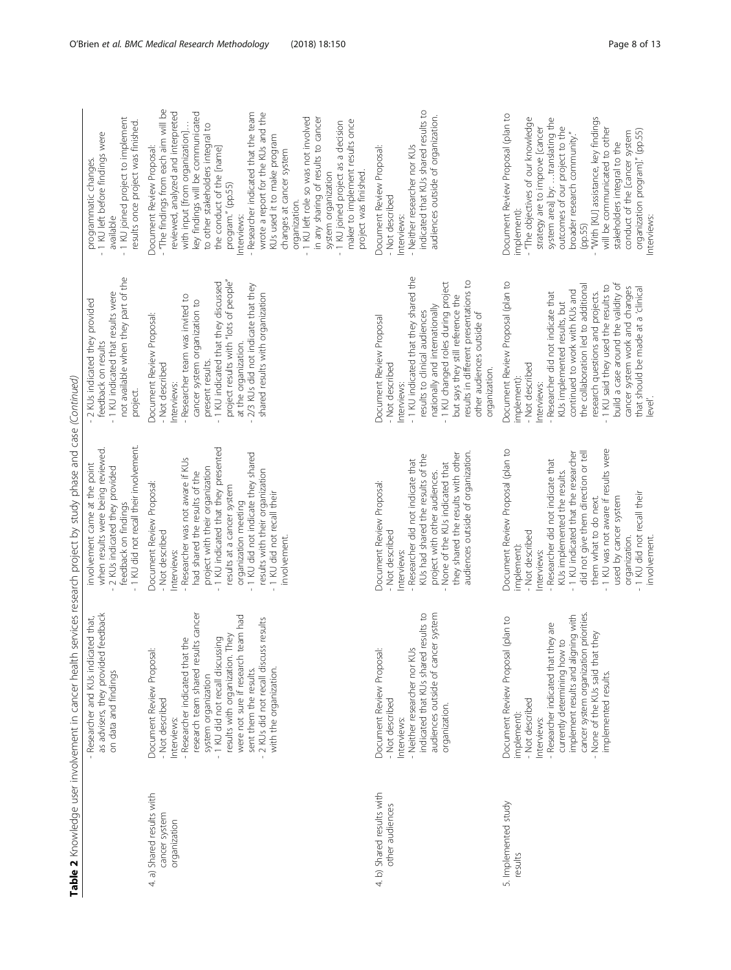|                                                            |                                                                                                                                                                                                                                                                                                                                                                               | Table 2 Knowledge user involvement in cancer health services research project by study phase and case (Continued)                                                                                                                                                                                                                                                                               |                                                                                                                                                                                                                                                                                                                                                                                                                                   |                                                                                                                                                                                                                                                                                                                                                                                                                                                                                                                                                                                                                                                    |
|------------------------------------------------------------|-------------------------------------------------------------------------------------------------------------------------------------------------------------------------------------------------------------------------------------------------------------------------------------------------------------------------------------------------------------------------------|-------------------------------------------------------------------------------------------------------------------------------------------------------------------------------------------------------------------------------------------------------------------------------------------------------------------------------------------------------------------------------------------------|-----------------------------------------------------------------------------------------------------------------------------------------------------------------------------------------------------------------------------------------------------------------------------------------------------------------------------------------------------------------------------------------------------------------------------------|----------------------------------------------------------------------------------------------------------------------------------------------------------------------------------------------------------------------------------------------------------------------------------------------------------------------------------------------------------------------------------------------------------------------------------------------------------------------------------------------------------------------------------------------------------------------------------------------------------------------------------------------------|
|                                                            | feedback<br>Researcher and KUs indicated that,<br>as advisers, they provided<br>on data and findings                                                                                                                                                                                                                                                                          | - 1 KU did not recall their involvement.<br>when results were being reviewed.<br>involvement came at the point<br>2 KUs indicated they provided<br>feedback on findings                                                                                                                                                                                                                         | not available when they part of the<br>- 1 KU indicated that results were<br>2 KUs indicated they provided<br>feedback on results<br>project.                                                                                                                                                                                                                                                                                     | - 1 KU joined project to implement<br>results once project was finished.<br>1 KU left before findings were<br>programmatic changes.<br>available                                                                                                                                                                                                                                                                                                                                                                                                                                                                                                   |
| 4. a) Shared results with<br>cancer system<br>organization | research team shared results cancer<br>team had<br>2 KUs did not recall discuss results<br>They<br>the<br>- 1 KU did not recall discussing<br>Document Review Proposal<br>- Researcher indicated that<br>were not sure if research<br>results with organization.<br>sent them the results.<br>with the organization.<br>system organization<br>- Not described<br>Interviews: | - 1 KU indicated that they presented<br>-1 KU did not indicate they shared<br>Researcher was not aware if KUs<br>project with their organization<br>results with their organization<br>had shared the results of the<br>Document Review Proposal:<br>results at a cancer system<br>- 1 KU did not recall their<br>organization meeting<br>- Not described<br>involvement.<br>Interviews:        | project results with "lots of people"<br>1 KU indicated that they discussed<br>2/3 KUs did not indicate that they<br>shared results with organization<br>Researcher team was invited to<br>cancer system organization to<br>Document Review Proposal:<br>at the organization.<br>present results.<br>- Not described<br>Interviews:                                                                                               | "The findings from each aim will be<br>reviewed, analyzed and interpreted<br>Researcher indicated that the team<br>key findings will be communicated<br>wrote a report for the KUs and the<br>1 KU left role so was not involved<br>in any sharing of results to cancer<br>maker to implement results once<br>- 1 KU joined project as a decision<br>with input [from organization]<br>to other stakeholders integral to<br>KUs used it to make program<br>the conduct of the [name]<br>Document Review Proposal:<br>changes at cancer system<br>system organization<br>project was finished.<br>program." (pp.55)<br>organization.<br>Interviews: |
| 4. b) Shared results with<br>other audiences               | audiences outside of cancer system<br>indicated that KUs shared results to<br>Document Review Proposal:<br>$\overline{S}$<br>- Neither researcher nor KU<br>- Not described<br>organization.<br>Interviews:                                                                                                                                                                   | audiences outside of organization.<br>they shared the results with other<br>KUs had shared the results of the<br>Researcher did not indicate that<br>None of the KUs indicated that<br>project with other audiences.<br>Document Review Proposal:<br>- Not described<br>Interviews:                                                                                                             | - 1 KU indicated that they shared the<br>results in different presentations to<br>1 KU changed roles during project<br>but says they still reference the<br>nationally and internationally<br>results to clinical audiences<br>other audiences outside of<br>Document Review Proposal<br>- Not described<br>organization.<br>nterviews:                                                                                           | indicated that KUs shared results to<br>audiences outside of organization.<br>- Neither researcher nor KUs<br>Document Review Proposal:<br>- Not described<br>Interviews:                                                                                                                                                                                                                                                                                                                                                                                                                                                                          |
| 5. Implemented study<br>results                            | implement results and aligning with<br>cancer system organization priorities.<br>ou uejd)<br>- Researcher indicated that they are<br>they<br>currently determining how to<br>Document Review Proposal<br>None of the KUs said that<br>implemented results.<br>- Not described<br>implement)<br>Interviews:                                                                    | - 1 KU was not aware if results were<br>Document Review Proposal (plan to<br>did not give them direction or tell<br>- 1 KU indicated that the researcher<br>- Researcher did not indicate that<br>KUs implemented the results.<br>-1 KU did not recall their<br>used by cancer system<br>them what to do next.<br>- Not described<br>organization.<br>involvement.<br>implement)<br>Interviews: | Document Review Proposal (plan to<br>build a case around the validity of<br>1 KU said they used the results to<br>the collaboration led to additional<br>cancer system work and changes<br>that should be made at a 'clinical<br>continued to work with KUs and<br>Researcher did not indicate that<br>research questions and projects.<br>KUs implemented results, but<br>- Not described<br>mplement):<br>nterviews:<br>level'. | Document Review Proposal (plan to<br>"With [KU] assistance, key findings<br>system area] by:  translating the<br>"The objectives of our knowledge<br>outcomes of our project to the<br>strategy are to improve [cancer<br>will be communicated to other<br>organization program]." (pp.55)<br>conduct of the [cancer system<br>broader research community."<br>stakeholders integral to the<br>implement):<br>Interviews:<br>(pp.55)                                                                                                                                                                                                               |

O'Brien et al. BMC Medical Research Methodology (2018) 18:150 example 3 of 13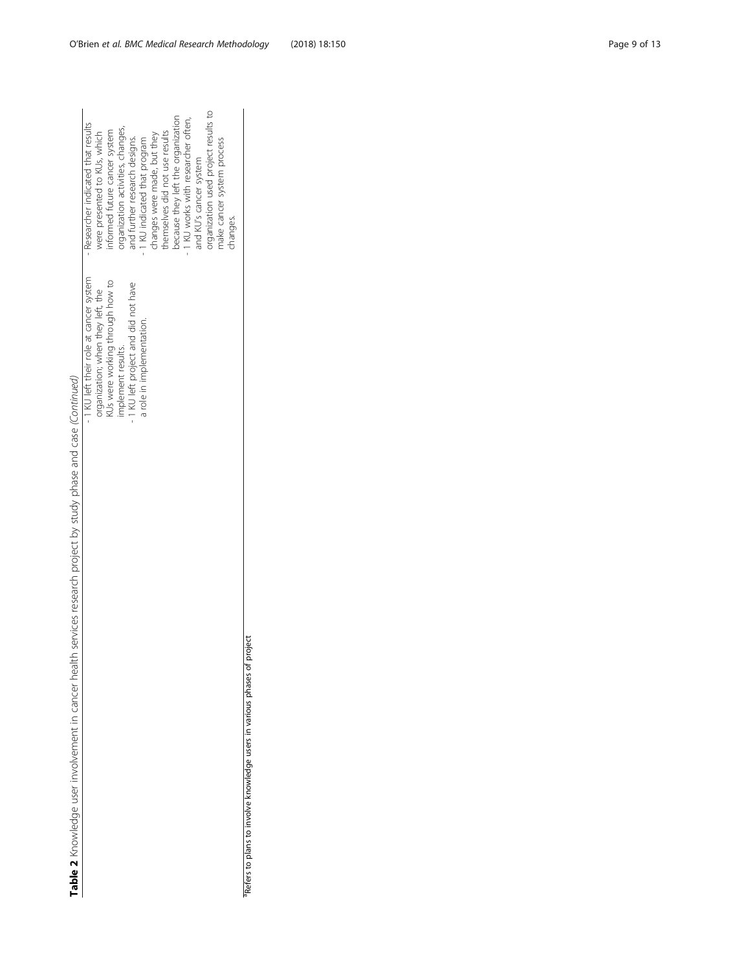| services research project by study phase and case (Continued)<br>Table 2 Knowledge user involvement in cancer health |                                      |
|----------------------------------------------------------------------------------------------------------------------|--------------------------------------|
| - 1 KU left their role at cancer system                                                                              | Researcher indicated that results    |
| organization; when they left, the                                                                                    | were presented to KUs, which         |
| KUs were working through how to                                                                                      | informed future cancer system        |
| implement results.                                                                                                   | organization activities, changes,    |
| - 1 KU left project and did not have                                                                                 | and further research designs.        |
| a role in implementation.                                                                                            | -1 KU indicated that program         |
|                                                                                                                      | changes were made, but they          |
|                                                                                                                      | themselves did not use results       |
|                                                                                                                      | because they left the organization   |
|                                                                                                                      | - 1 KU works with researcher often,  |
|                                                                                                                      | and KU's cancer system               |
|                                                                                                                      | organization used project results to |
|                                                                                                                      | make cancer system process           |
|                                                                                                                      | changes.                             |

Refers to plans to involve knowledge users in various phases of project aRefers to plans to involve knowledge users in various phases of project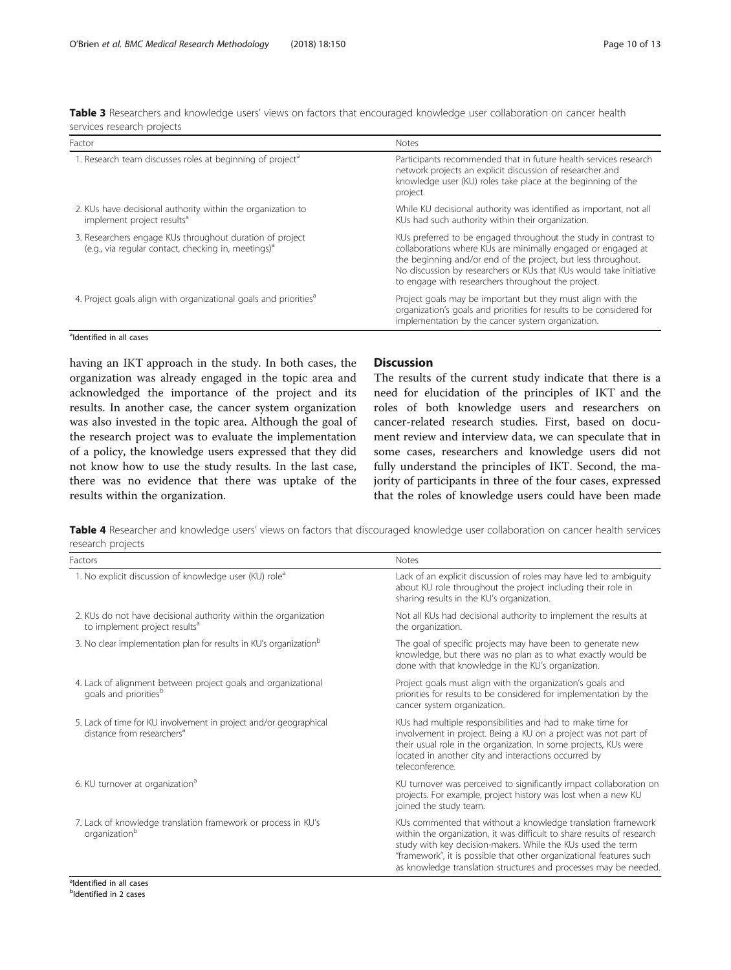<span id="page-9-0"></span>

|                            | Table 3 Researchers and knowledge users' views on factors that encouraged knowledge user collaboration on cancer health |  |  |  |  |  |
|----------------------------|-------------------------------------------------------------------------------------------------------------------------|--|--|--|--|--|
| services research projects |                                                                                                                         |  |  |  |  |  |

| Factor                                                                                                                      | <b>Notes</b>                                                                                                                                                                                                                                                                                                                 |
|-----------------------------------------------------------------------------------------------------------------------------|------------------------------------------------------------------------------------------------------------------------------------------------------------------------------------------------------------------------------------------------------------------------------------------------------------------------------|
| 1. Research team discusses roles at beginning of project <sup>a</sup>                                                       | Participants recommended that in future health services research<br>network projects an explicit discussion of researcher and<br>knowledge user (KU) roles take place at the beginning of the<br>project.                                                                                                                    |
| 2. KUs have decisional authority within the organization to<br>implement project results <sup>a</sup>                       | While KU decisional authority was identified as important, not all<br>KUs had such authority within their organization.                                                                                                                                                                                                      |
| 3. Researchers engage KUs throughout duration of project<br>(e.g., via regular contact, checking in, meetings) <sup>a</sup> | KUs preferred to be engaged throughout the study in contrast to<br>collaborations where KUs are minimally engaged or engaged at<br>the beginning and/or end of the project, but less throughout.<br>No discussion by researchers or KUs that KUs would take initiative<br>to engage with researchers throughout the project. |
| 4. Project goals align with organizational goals and priorities <sup>a</sup>                                                | Project goals may be important but they must align with the<br>organization's goals and priorities for results to be considered for<br>implementation by the cancer system organization.                                                                                                                                     |

#### <sup>a</sup>ldentified in all cases

having an IKT approach in the study. In both cases, the organization was already engaged in the topic area and acknowledged the importance of the project and its results. In another case, the cancer system organization was also invested in the topic area. Although the goal of the research project was to evaluate the implementation of a policy, the knowledge users expressed that they did not know how to use the study results. In the last case, there was no evidence that there was uptake of the results within the organization.

# Discussion

The results of the current study indicate that there is a need for elucidation of the principles of IKT and the roles of both knowledge users and researchers on cancer-related research studies. First, based on document review and interview data, we can speculate that in some cases, researchers and knowledge users did not fully understand the principles of IKT. Second, the majority of participants in three of the four cases, expressed that the roles of knowledge users could have been made

Table 4 Researcher and knowledge users' views on factors that discouraged knowledge user collaboration on cancer health services research projects

| Factors                                                                                                      | Notes                                                                                                                                                                                                                                                                                                                                            |  |  |  |  |  |
|--------------------------------------------------------------------------------------------------------------|--------------------------------------------------------------------------------------------------------------------------------------------------------------------------------------------------------------------------------------------------------------------------------------------------------------------------------------------------|--|--|--|--|--|
| 1. No explicit discussion of knowledge user (KU) role <sup>a</sup>                                           | Lack of an explicit discussion of roles may have led to ambiguity<br>about KU role throughout the project including their role in<br>sharing results in the KU's organization.                                                                                                                                                                   |  |  |  |  |  |
| 2. KUs do not have decisional authority within the organization<br>to implement project results <sup>a</sup> | Not all KUs had decisional authority to implement the results at<br>the organization.                                                                                                                                                                                                                                                            |  |  |  |  |  |
| 3. No clear implementation plan for results in KU's organization <sup>b</sup>                                | The goal of specific projects may have been to generate new<br>knowledge, but there was no plan as to what exactly would be<br>done with that knowledge in the KU's organization.                                                                                                                                                                |  |  |  |  |  |
| 4. Lack of alignment between project goals and organizational<br>goals and priorities <sup>b</sup>           | Project goals must align with the organization's goals and<br>priorities for results to be considered for implementation by the<br>cancer system organization.                                                                                                                                                                                   |  |  |  |  |  |
| 5. Lack of time for KU involvement in project and/or geographical<br>distance from researchers <sup>a</sup>  | KUs had multiple responsibilities and had to make time for<br>involvement in project. Being a KU on a project was not part of<br>their usual role in the organization. In some projects, KUs were<br>located in another city and interactions occurred by<br>teleconference.                                                                     |  |  |  |  |  |
| 6. KU turnover at organization <sup>a</sup>                                                                  | KU turnover was perceived to significantly impact collaboration on<br>projects. For example, project history was lost when a new KU<br>joined the study team.                                                                                                                                                                                    |  |  |  |  |  |
| 7. Lack of knowledge translation framework or process in KU's<br>organization <sup>b</sup>                   | KUs commented that without a knowledge translation framework<br>within the organization, it was difficult to share results of research<br>study with key decision-makers. While the KUs used the term<br>"framework", it is possible that other organizational features such<br>as knowledge translation structures and processes may be needed. |  |  |  |  |  |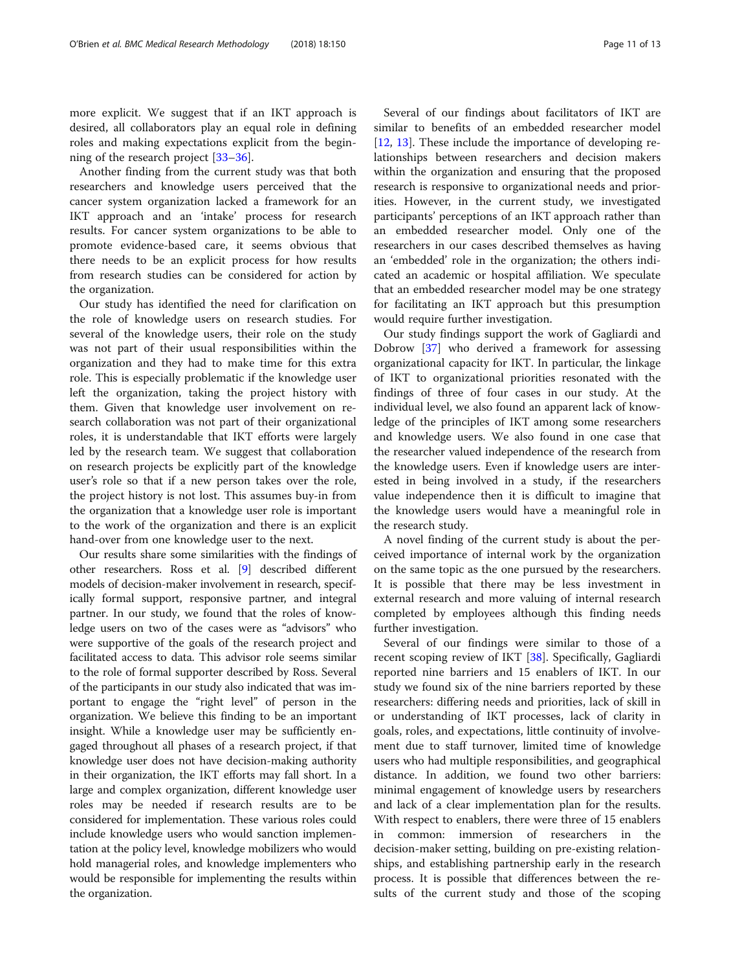more explicit. We suggest that if an IKT approach is desired, all collaborators play an equal role in defining roles and making expectations explicit from the beginning of the research project [\[33](#page-12-0)–[36\]](#page-12-0).

Another finding from the current study was that both researchers and knowledge users perceived that the cancer system organization lacked a framework for an IKT approach and an 'intake' process for research results. For cancer system organizations to be able to promote evidence-based care, it seems obvious that there needs to be an explicit process for how results from research studies can be considered for action by the organization.

Our study has identified the need for clarification on the role of knowledge users on research studies. For several of the knowledge users, their role on the study was not part of their usual responsibilities within the organization and they had to make time for this extra role. This is especially problematic if the knowledge user left the organization, taking the project history with them. Given that knowledge user involvement on research collaboration was not part of their organizational roles, it is understandable that IKT efforts were largely led by the research team. We suggest that collaboration on research projects be explicitly part of the knowledge user's role so that if a new person takes over the role, the project history is not lost. This assumes buy-in from the organization that a knowledge user role is important to the work of the organization and there is an explicit hand-over from one knowledge user to the next.

Our results share some similarities with the findings of other researchers. Ross et al. [\[9\]](#page-12-0) described different models of decision-maker involvement in research, specifically formal support, responsive partner, and integral partner. In our study, we found that the roles of knowledge users on two of the cases were as "advisors" who were supportive of the goals of the research project and facilitated access to data. This advisor role seems similar to the role of formal supporter described by Ross. Several of the participants in our study also indicated that was important to engage the "right level" of person in the organization. We believe this finding to be an important insight. While a knowledge user may be sufficiently engaged throughout all phases of a research project, if that knowledge user does not have decision-making authority in their organization, the IKT efforts may fall short. In a large and complex organization, different knowledge user roles may be needed if research results are to be considered for implementation. These various roles could include knowledge users who would sanction implementation at the policy level, knowledge mobilizers who would hold managerial roles, and knowledge implementers who would be responsible for implementing the results within the organization.

Several of our findings about facilitators of IKT are similar to benefits of an embedded researcher model [[12,](#page-12-0) [13\]](#page-12-0). These include the importance of developing relationships between researchers and decision makers within the organization and ensuring that the proposed research is responsive to organizational needs and priorities. However, in the current study, we investigated participants' perceptions of an IKT approach rather than an embedded researcher model. Only one of the researchers in our cases described themselves as having an 'embedded' role in the organization; the others indicated an academic or hospital affiliation. We speculate that an embedded researcher model may be one strategy for facilitating an IKT approach but this presumption would require further investigation.

Our study findings support the work of Gagliardi and Dobrow [[37\]](#page-12-0) who derived a framework for assessing organizational capacity for IKT. In particular, the linkage of IKT to organizational priorities resonated with the findings of three of four cases in our study. At the individual level, we also found an apparent lack of knowledge of the principles of IKT among some researchers and knowledge users. We also found in one case that the researcher valued independence of the research from the knowledge users. Even if knowledge users are interested in being involved in a study, if the researchers value independence then it is difficult to imagine that the knowledge users would have a meaningful role in the research study.

A novel finding of the current study is about the perceived importance of internal work by the organization on the same topic as the one pursued by the researchers. It is possible that there may be less investment in external research and more valuing of internal research completed by employees although this finding needs further investigation.

Several of our findings were similar to those of a recent scoping review of IKT [[38\]](#page-12-0). Specifically, Gagliardi reported nine barriers and 15 enablers of IKT. In our study we found six of the nine barriers reported by these researchers: differing needs and priorities, lack of skill in or understanding of IKT processes, lack of clarity in goals, roles, and expectations, little continuity of involvement due to staff turnover, limited time of knowledge users who had multiple responsibilities, and geographical distance. In addition, we found two other barriers: minimal engagement of knowledge users by researchers and lack of a clear implementation plan for the results. With respect to enablers, there were three of 15 enablers in common: immersion of researchers in the decision-maker setting, building on pre-existing relationships, and establishing partnership early in the research process. It is possible that differences between the results of the current study and those of the scoping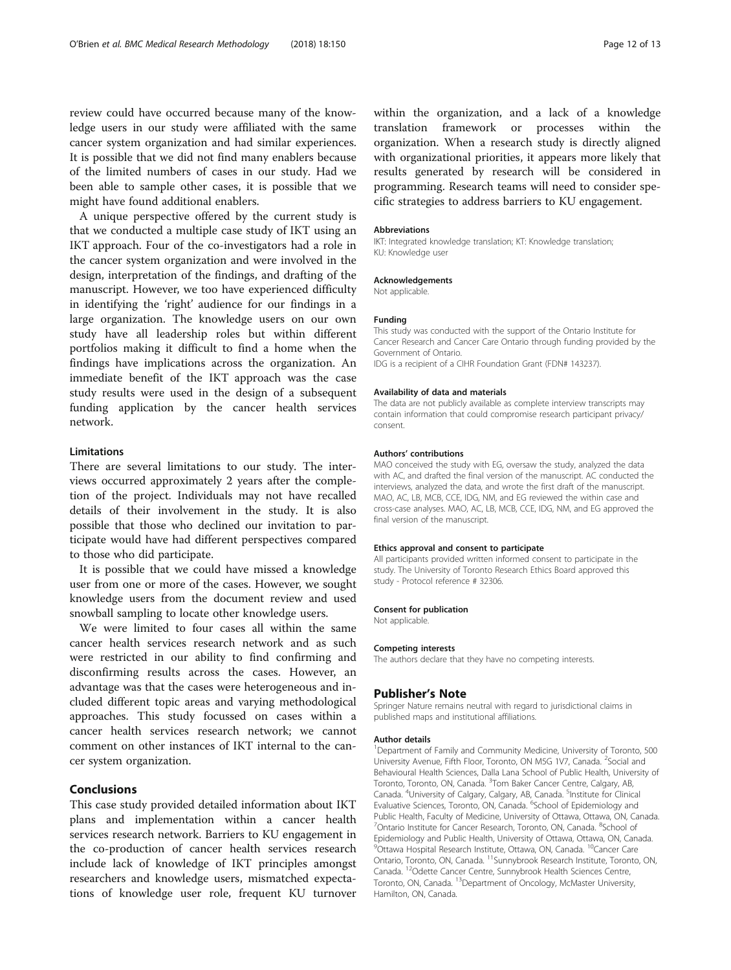review could have occurred because many of the knowledge users in our study were affiliated with the same cancer system organization and had similar experiences. It is possible that we did not find many enablers because of the limited numbers of cases in our study. Had we been able to sample other cases, it is possible that we might have found additional enablers.

A unique perspective offered by the current study is that we conducted a multiple case study of IKT using an IKT approach. Four of the co-investigators had a role in the cancer system organization and were involved in the design, interpretation of the findings, and drafting of the manuscript. However, we too have experienced difficulty in identifying the 'right' audience for our findings in a large organization. The knowledge users on our own study have all leadership roles but within different portfolios making it difficult to find a home when the findings have implications across the organization. An immediate benefit of the IKT approach was the case study results were used in the design of a subsequent funding application by the cancer health services network.

# **Limitations**

There are several limitations to our study. The interviews occurred approximately 2 years after the completion of the project. Individuals may not have recalled details of their involvement in the study. It is also possible that those who declined our invitation to participate would have had different perspectives compared to those who did participate.

It is possible that we could have missed a knowledge user from one or more of the cases. However, we sought knowledge users from the document review and used snowball sampling to locate other knowledge users.

We were limited to four cases all within the same cancer health services research network and as such were restricted in our ability to find confirming and disconfirming results across the cases. However, an advantage was that the cases were heterogeneous and included different topic areas and varying methodological approaches. This study focussed on cases within a cancer health services research network; we cannot comment on other instances of IKT internal to the cancer system organization.

# Conclusions

This case study provided detailed information about IKT plans and implementation within a cancer health services research network. Barriers to KU engagement in the co-production of cancer health services research include lack of knowledge of IKT principles amongst researchers and knowledge users, mismatched expectations of knowledge user role, frequent KU turnover

within the organization, and a lack of a knowledge translation framework or processes within the organization. When a research study is directly aligned with organizational priorities, it appears more likely that results generated by research will be considered in programming. Research teams will need to consider specific strategies to address barriers to KU engagement.

#### Abbreviations

IKT: Integrated knowledge translation; KT: Knowledge translation; KU: Knowledge user

#### Acknowledgements

Not applicable.

#### Funding

This study was conducted with the support of the Ontario Institute for Cancer Research and Cancer Care Ontario through funding provided by the Government of Ontario. IDG is a recipient of a CIHR Foundation Grant (FDN# 143237).

#### Availability of data and materials

The data are not publicly available as complete interview transcripts may contain information that could compromise research participant privacy/ consent.

# Authors' contributions

MAO conceived the study with EG, oversaw the study, analyzed the data with AC, and drafted the final version of the manuscript. AC conducted the interviews, analyzed the data, and wrote the first draft of the manuscript. MAO, AC, LB, MCB, CCE, IDG, NM, and EG reviewed the within case and cross-case analyses. MAO, AC, LB, MCB, CCE, IDG, NM, and EG approved the final version of the manuscript.

#### Ethics approval and consent to participate

All participants provided written informed consent to participate in the study. The University of Toronto Research Ethics Board approved this study - Protocol reference # 32306.

#### Consent for publication

Not applicable.

#### Competing interests

The authors declare that they have no competing interests.

## Publisher's Note

Springer Nature remains neutral with regard to jurisdictional claims in published maps and institutional affiliations.

#### Author details

<sup>1</sup>Department of Family and Community Medicine, University of Toronto, 500 University Avenue, Fifth Floor, Toronto, ON M5G 1V7, Canada. <sup>2</sup>Social and Behavioural Health Sciences, Dalla Lana School of Public Health, University of Toronto, Toronto, ON, Canada. <sup>3</sup>Tom Baker Cancer Centre, Calgary, AB, Canada. <sup>4</sup>University of Calgary, Calgary, AB, Canada. <sup>5</sup>Institute for Clinical Evaluative Sciences, Toronto, ON, Canada. <sup>6</sup>School of Epidemiology and Public Health, Faculty of Medicine, University of Ottawa, Ottawa, ON, Canada. <sup>7</sup>Ontario Institute for Cancer Research, Toronto, ON, Canada. <sup>8</sup>School of Epidemiology and Public Health, University of Ottawa, Ottawa, ON, Canada. <sup>9</sup>Ottawa Hospital Research Institute, Ottawa, ON, Canada. <sup>10</sup>Cancer Care Ontario, Toronto, ON, Canada. <sup>11</sup>Sunnybrook Research Institute, Toronto, ON, Canada. 12Odette Cancer Centre, Sunnybrook Health Sciences Centre, Toronto, ON, Canada. 13Department of Oncology, McMaster University, Hamilton, ON, Canada.